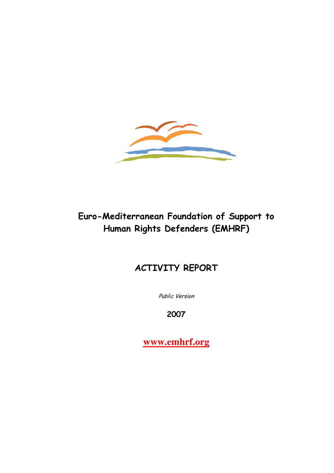

# Euro-Mediterranean Foundation of Support to Human Rights Defenders (EMHRF)

# ACTIVITY REPORT

Public Version

2007

**www.emhrf.org**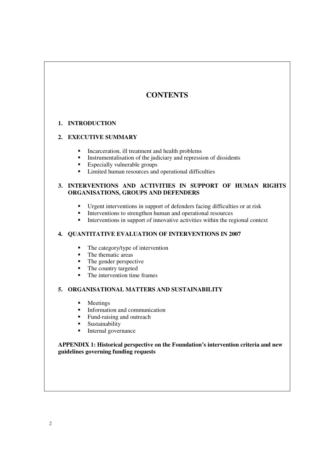# **CONTENTS**

## **1. INTRODUCTION**

#### **2. EXECUTIVE SUMMARY**

- Incarceration, ill treatment and health problems
- **Instrumentalisation of the judiciary and repression of dissidents**
- **Especially vulnerable groups**
- Limited human resources and operational difficulties

#### **3. INTERVENTIONS AND ACTIVITIES IN SUPPORT OF HUMAN RIGHTS ORGANISATIONS, GROUPS AND DEFENDERS**

- Urgent interventions in support of defenders facing difficulties or at risk
- Interventions to strengthen human and operational resources
- Interventions in support of innovative activities within the regional context

### **4. QUANTITATIVE EVALUATION OF INTERVENTIONS IN 2007**

- $\blacksquare$  The category/type of intervention
- $\blacksquare$  The thematic areas<br> $\blacksquare$  The gender perspectively
- $\blacksquare$  The gender perspective<br> $\blacksquare$  The country targeted
- The country targeted
- The intervention time frames

### **5. ORGANISATIONAL MATTERS AND SUSTAINABILITY**

- **Neetings**
- **Information and communication**
- Fund-raising and outreach
- Sustainability<br>Internal govern
- Internal governance

**APPENDIX 1: Historical perspective on the Foundation's intervention criteria and new guidelines governing funding requests** 

1. Introduction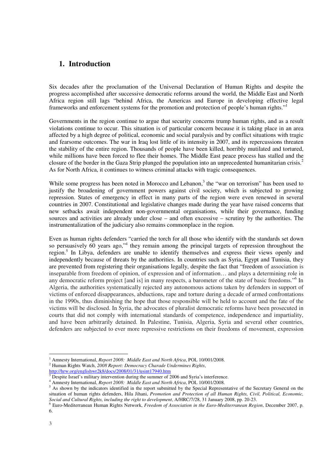# **1. Introduction**

Six decades after the proclamation of the Universal Declaration of Human Rights and despite the progress accomplished after successive democratic reforms around the world, the Middle East and North Africa region still lags "behind Africa, the Americas and Europe in developing effective legal frameworks and enforcement systems for the promotion and protection of people's human rights."

Governments in the region continue to argue that security concerns trump human rights, and as a result violations continue to occur. This situation is of particular concern because it is taking place in an area affected by a high degree of political, economic and social paralysis and by conflict situations with tragic and fearsome outcomes. The war in Iraq lost little of its intensity in 2007, and its repercussions threaten the stability of the entire region. Thousands of people have been killed, horribly mutilated and tortured, while millions have been forced to flee their homes. The Middle East peace process has stalled and the closure of the border in the Gaza Strip plunged the population into an unprecedented humanitarian crisis.<sup>2</sup> As for North Africa, it continues to witness criminal attacks with tragic consequences.

While some progress has been noted in Morocco and Lebanon,<sup>3</sup> the "war on terrorism" has been used to justify the broadening of government powers against civil society, which is subjected to growing repression. States of emergency in effect in many parts of the region were even renewed in several countries in 2007. Constitutional and legislative changes made during the year have raised concerns that new setbacks await independent non-governmental organisations, while their governance, funding sources and activities are already under close – and often excessive – scrutiny by the authorities. The instrumentalization of the judiciary also remains commonplace in the region.

Even as human rights defenders "carried the torch for all those who identify with the standards set down so persuasively 60 years ago,"<sup>4</sup> they remain among the principal targets of repression throughout the region.<sup>5</sup> In Libya, defenders are unable to identify themselves and express their views openly and independently because of threats by the authorities. In countries such as Syria, Egypt and Tunisia, they are prevented from registering their organisations legally, despite the fact that "freedom of association is inseparable from freedom of opinion, of expression and of information… and plays a determining role in any democratic reform project [and is] in many respects, a barometer of the state of basic freedoms."<sup>6</sup> In Algeria, the authorities systematically rejected any autonomous actions taken by defenders in support of victims of enforced disappearances, abductions, rape and torture during a decade of armed confrontations in the 1990s, thus diminishing the hope that those responsible will be held to account and the fate of the victims will be disclosed. In Syria, the advocates of pluralist democratic reforms have been prosecuted in courts that did not comply with international standards of competence, independence and impartiality, and have been arbitrarily detained. In Palestine, Tunisia, Algeria, Syria and several other countries, defenders are subjected to ever more repressive restrictions on their freedoms of movement, expression

<sup>&</sup>lt;sup>1</sup> Amnesty International, *Report 2008: Middle East and North Africa*, POL 10/001/2008.

<sup>2</sup> Human Rights Watch, *2008 Report: Democracy Charade Undermines Rights*,

http://hrw.org/englishwr2k8/docs/2008/01/31/usint17940.htm

 $3$  Despite Israel's military intervention during the summer of 2006 and Syria's interference.

<sup>4</sup> Amnesty International, *Report 2008: Middle East and North Africa*, POL 10/001/2008.

 $5$  As shown by the indicators identified in the report submitted by the Special Representative of the Secretary General on the situation of human rights defenders, Hila Jihani, *Promotion and Protection of all Human Rights, Civil, Political, Economic,* 

Social and Cultural Rights, including the right to development, A/HRC/7/28, 31 January 2008, pp. 20-23.<br><sup>6</sup> Euro-Mediterranean Human Rights Network, *Freedom of Association in the Euro-Mediterranean Region*, December 2007, 6.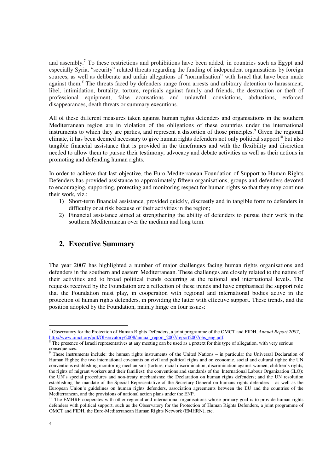and assembly.<sup>7</sup> To these restrictions and prohibitions have been added, in countries such as Egypt and especially Syria, "security" related threats regarding the funding of independent organisations by foreign sources, as well as deliberate and unfair allegations of "normalisation" with Israel that have been made against them.<sup>8</sup> The threats faced by defenders range from arrests and arbitrary detention to harassment, libel, intimidation, brutality, torture, reprisals against family and friends, the destruction or theft of professional equipment, false accusations and unlawful convictions, abductions, enforced disappearances, death threats or summary executions.

All of these different measures taken against human rights defenders and organisations in the southern Mediterranean region are in violation of the obligations of these countries under the international instruments to which they are parties, and represent a distortion of those principles.<sup>9</sup> Given the regional climate, it has been deemed necessary to give human rights defenders not only political support<sup>10</sup> but also tangible financial assistance that is provided in the timeframes and with the flexibility and discretion needed to allow them to pursue their testimony, advocacy and debate activities as well as their actions in promoting and defending human rights.

In order to achieve that last objective, the Euro-Mediterranean Foundation of Support to Human Rights Defenders has provided assistance to approximately fifteen organisations, groups and defenders devoted to encouraging, supporting, protecting and monitoring respect for human rights so that they may continue their work, viz.:

- 1) Short-term financial assistance, provided quickly, discreetly and in tangible form to defenders in difficulty or at risk because of their activities in the region;
- 2) Financial assistance aimed at strengthening the ability of defenders to pursue their work in the southern Mediterranean over the medium and long term.

# **2. Executive Summary**

The year 2007 has highlighted a number of major challenges facing human rights organisations and defenders in the southern and eastern Mediterranean. These challenges are closely related to the nature of their activities and to broad political trends occurring at the national and international levels. The requests received by the Foundation are a reflection of these trends and have emphasised the support role that the Foundation must play, in cooperation with regional and international bodies active in the protection of human rights defenders, in providing the latter with effective support. These trends, and the position adopted by the Foundation, mainly hinge on four issues:

<sup>7</sup> Observatory for the Protection of Human Rights Defenders, a joint programme of the OMCT and FIDH, *Annual Report 2007*,

http://www.omct.org/pdf/Observatory/2008/annual\_report\_2007/report2007obs\_eng.pdf.<br><sup>8</sup> The presence of Israeli representatives at any meeting can be used as a pretext for this type of allegation, with very serious

consequences. 9 These instruments include: the human rights instruments of the United Nations – in particular the Universal Declaration of Human Rights; the two international covenants on civil and political rights and on economic, social and cultural rights; the UN conventions establishing monitoring mechanisms (torture, racial discrimination, discrimination against women, children's rights, the rights of migrant workers and their families); the conventions and standards of the International Labour Organization (ILO); the UN's special procedures and non-treaty mechanisms; the Declaration on human rights defenders; and the UN resolution establishing the mandate of the Special Representative of the Secretary General on humans rights defenders – as well as the European Union's guidelines on human rights defenders, association agreements between the EU and the countries of the Mediterranean, and the provisions of national action plans under the ENP.

 $10$  The EMHRF cooperates with other regional and international organisations whose primary goal is to provide human rights defenders with political support, such as the Observatory for the Protection of Human Rights Defenders, a joint programme of OMCT and FIDH, the Euro-Mediterranean Human Rights Network (EMHRN), etc.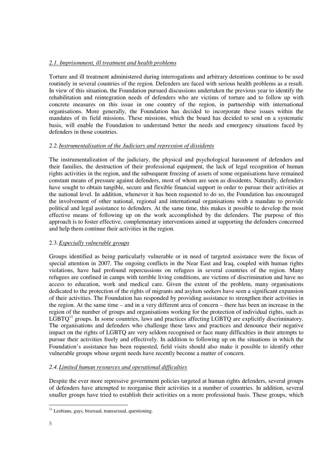#### *2.1. Imprisonment, ill treatment and health problems*

Torture and ill treatment administered during interrogations and arbitrary detentions continue to be used routinely in several countries of the region. Defenders are faced with serious health problems as a result. In view of this situation, the Foundation pursued discussions undertaken the previous year to identify the rehabilitation and reintegration needs of defenders who are victims of torture and to follow up with concrete measures on this issue in one country of the region, in partnership with international organisations. More generally, the Foundation has decided to incorporate these issues within the mandates of its field missions. These missions, which the board has decided to send on a systematic basis, will enable the Foundation to understand better the needs and emergency situations faced by defenders in those countries.

#### *2.2.Instrumentalisation of the Judiciary and repression of dissidents*

The instrumentalization of the judiciary, the physical and psychological harassment of defenders and their families, the destruction of their professional equipment, the lack of legal recognition of human rights activities in the region, and the subsequent freezing of assets of some organisations have remained constant means of pressure against defenders, most of whom are seen as dissidents. Naturally, defenders have sought to obtain tangible, secure and flexible financial support in order to pursue their activities at the national level. In addition, whenever it has been requested to do so, the Foundation has encouraged the involvement of other national, regional and international organisations with a mandate to provide political and legal assistance to defenders. At the same time, this makes it possible to develop the most effective means of following up on the work accomplished by the defenders. The purpose of this approach is to foster effective, complementary interventions aimed at supporting the defenders concerned and help them continue their activities in the region.

## 2.3.*Especially vulnerable groups*

Groups identified as being particularly vulnerable or in need of targeted assistance were the focus of special attention in 2007. The ongoing conflicts in the Near East and Iraq, coupled with human rights violations, have had profound repercussions on refugees in several countries of the region. Many refugees are confined in camps with terrible living conditions, are victims of discrimination and have no access to education, work and medical care. Given the extent of the problem, many organisations dedicated to the protection of the rights of migrants and asylum seekers have seen a significant expansion of their activities. The Foundation has responded by providing assistance to strengthen their activities in the region. At the same time – and in a very different area of concern – there has been an increase in the region of the number of groups and organisations working for the protection of individual rights, such as  $LGBTQ<sup>11</sup>$  groups. In some countries, laws and practices affecting  $LGBTQ$  are explicitly discriminatory. The organisations and defenders who challenge these laws and practices and denounce their negative impact on the rights of LGBTQ are very seldom recognised or face many difficulties in their attempts to pursue their activities freely and effectively. In addition to following up on the situations in which the Foundation's assistance has been requested, field visits should also make it possible to identify other vulnerable groups whose urgent needs have recently become a matter of concern.

## *2.4.Limited human resources and operational difficulties*

Despite the ever more repressive government policies targeted at human rights defenders, several groups of defenders have attempted to reorganise their activities in a number of countries. In addition, several smaller groups have tried to establish their activities on a more professional basis. These groups, which

<sup>&</sup>lt;sup>11</sup> Lesbians, gays, bisexual, transsexual, questioning.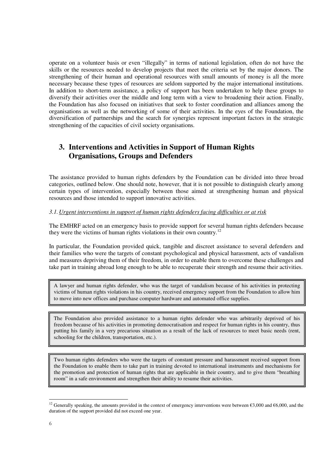operate on a volunteer basis or even "illegally" in terms of national legislation, often do not have the skills or the resources needed to develop projects that meet the criteria set by the major donors. The strengthening of their human and operational resources with small amounts of money is all the more necessary because these types of resources are seldom supported by the major international institutions. In addition to short-term assistance, a policy of support has been undertaken to help these groups to diversify their activities over the middle and long term with a view to broadening their action. Finally, the Foundation has also focused on initiatives that seek to foster coordination and alliances among the organisations as well as the networking of some of their activities. In the eyes of the Foundation, the diversification of partnerships and the search for synergies represent important factors in the strategic strengthening of the capacities of civil society organisations.

# **3. Interventions and Activities in Support of Human Rights Organisations, Groups and Defenders**

The assistance provided to human rights defenders by the Foundation can be divided into three broad categories, outlined below. One should note, however, that it is not possible to distinguish clearly among certain types of intervention, especially between those aimed at strengthening human and physical resources and those intended to support innovative activities.

#### *3.1.Urgent interventions in support of human rights defenders facing difficulties or at risk*

The EMHRF acted on an emergency basis to provide support for several human rights defenders because they were the victims of human rights violations in their own country.<sup>12</sup>

In particular, the Foundation provided quick, tangible and discreet assistance to several defenders and their families who were the targets of constant psychological and physical harassment, acts of vandalism and measures depriving them of their freedom, in order to enable them to overcome these challenges and take part in training abroad long enough to be able to recuperate their strength and resume their activities.

A lawyer and human rights defender, who was the target of vandalism because of his activities in protecting victims of human rights violations in his country, received emergency support from the Foundation to allow him to move into new offices and purchase computer hardware and automated office supplies.

The Foundation also provided assistance to a human rights defender who was arbitrarily deprived of his freedom because of his activities in promoting democratisation and respect for human rights in his country, thus putting his family in a very precarious situation as a result of the lack of resources to meet basic needs (rent, schooling for the children, transportation, etc.).

Two human rights defenders who were the targets of constant pressure and harassment received support from the Foundation to enable them to take part in training devoted to international instruments and mechanisms for the promotion and protection of human rights that are applicable in their country, and to give them "breathing room" in a safe environment and strengthen their ability to resume their activities.

l <sup>12</sup> Generally speaking, the amounts provided in the context of emergency interventions were between  $\epsilon$ 3,000 and  $\epsilon$ 6,000, and the duration of the support provided did not exceed one year.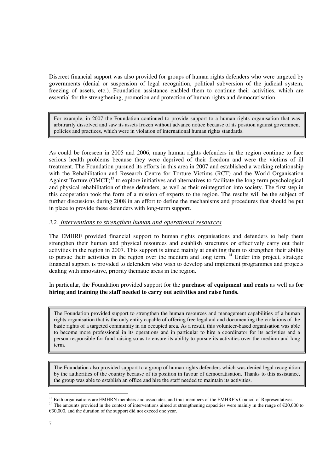Discreet financial support was also provided for groups of human rights defenders who were targeted by governments (denial or suspension of legal recognition, political subversion of the judicial system, freezing of assets, etc.). Foundation assistance enabled them to continue their activities, which are essential for the strengthening, promotion and protection of human rights and democratisation.

For example, in 2007 the Foundation continued to provide support to a human rights organisation that was arbitrarily dissolved and saw its assets frozen without advance notice because of its position against government policies and practices, which were in violation of international human rights standards.

As could be foreseen in 2005 and 2006, many human rights defenders in the region continue to face serious health problems because they were deprived of their freedom and were the victims of ill treatment. The Foundation pursued its efforts in this area in 2007 and established a working relationship with the Rehabilitation and Research Centre for Torture Victims (RCT) and the World Organisation Against Torture  $(OMCT)^{13}$  to explore initiatives and alternatives to facilitate the long-term psychological and physical rehabilitation of these defenders, as well as their reintegration into society. The first step in this cooperation took the form of a mission of experts to the region. The results will be the subject of further discussions during 2008 in an effort to define the mechanisms and procedures that should be put in place to provide these defenders with long-term support.

#### *3.2. Interventions to strengthen human and operational resources*

The EMHRF provided financial support to human rights organisations and defenders to help them strengthen their human and physical resources and establish structures or effectively carry out their activities in the region in 2007. This support is aimed mainly at enabling them to strengthen their ability to pursue their activities in the region over the medium and long term.<sup>14</sup> Under this project, strategic financial support is provided to defenders who wish to develop and implement programmes and projects dealing with innovative, priority thematic areas in the region.

In particular, the Foundation provided support for the **purchase of equipment and rents** as well as **for hiring and training the staff needed to carry out activities and raise funds.** 

The Foundation provided support to strengthen the human resources and management capabilities of a human rights organisation that is the only entity capable of offering free legal aid and documenting the violations of the basic rights of a targeted community in an occupied area. As a result, this volunteer-based organisation was able to become more professional in its operations and in particular to hire a coordinator for its activities and a person responsible for fund-raising so as to ensure its ability to pursue its activities over the medium and long term.

The Foundation also provided support to a group of human rights defenders which was denied legal recognition by the authorities of the country because of its position in favour of democratisation. Thanks to this assistance, the group was able to establish an office and hire the staff needed to maintain its activities.

l <sup>13</sup> Both organisations are EMHRN members and associates, and thus members of the EMHRF's Council of Representatives. <sup>14</sup> The amounts provided in the context of interventions aimed at strengthening capacities were mainly in the range of  $\epsilon$ 20,000 to €30,000, and the duration of the support did not exceed one year.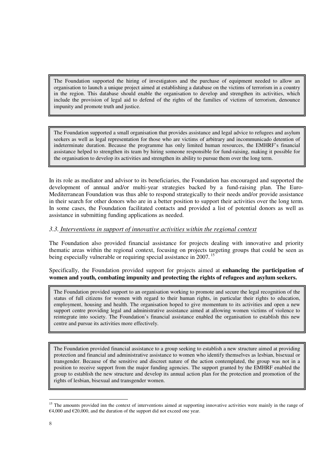The Foundation supported the hiring of investigators and the purchase of equipment needed to allow an organisation to launch a unique project aimed at establishing a database on the victims of terrorism in a country in the region. This database should enable the organisation to develop and strengthen its activities, which include the provision of legal aid to defend of the rights of the families of victims of terrorism, denounce impunity and promote truth and justice.

The Foundation supported a small organisation that provides assistance and legal advice to refugees and asylum seekers as well as legal representation for those who are victims of arbitrary and incommunicado detention of indeterminate duration. Because the programme has only limited human resources, the EMHRF's financial assistance helped to strengthen its team by hiring someone responsible for fund-raising, making it possible for the organisation to develop its activities and strengthen its ability to pursue them over the long term.

In its role as mediator and advisor to its beneficiaries, the Foundation has encouraged and supported the development of annual and/or multi-year strategies backed by a fund-raising plan. The Euro-Mediterranean Foundation was thus able to respond strategically to their needs and/or provide assistance in their search for other donors who are in a better position to support their activities over the long term. In some cases, the Foundation facilitated contacts and provided a list of potential donors as well as assistance in submitting funding applications as needed.

#### *3.3. Interventions in support of innovative activities within the regional context*

The Foundation also provided financial assistance for projects dealing with innovative and priority thematic areas within the regional context, focusing on projects targeting groups that could be seen as being especially vulnerable or requiring special assistance in 2007.<sup>15</sup>

Specifically, the Foundation provided support for projects aimed at **enhancing the participation of women and youth, combating impunity and protecting the rights of refugees and asylum seekers.** 

The Foundation provided support to an organisation working to promote and secure the legal recognition of the status of full citizens for women with regard to their human rights, in particular their rights to education, employment, housing and health. The organisation hoped to give momentum to its activities and open a new support centre providing legal and administrative assistance aimed at allowing women victims of violence to reintegrate into society. The Foundation's financial assistance enabled the organisation to establish this new centre and pursue its activities more effectively.

The Foundation provided financial assistance to a group seeking to establish a new structure aimed at providing protection and financial and administrative assistance to women who identify themselves as lesbian, bisexual or transgender. Because of the sensitive and discreet nature of the action contemplated, the group was not in a position to receive support from the major funding agencies. The support granted by the EMHRF enabled the group to establish the new structure and develop its annual action plan for the protection and promotion of the rights of lesbian, bisexual and transgender women.

l <sup>15</sup> The amounts provided inn the context of interventions aimed at supporting innovative activities were mainly in the range of €4,000 and €20,000, and the duration of the support did not exceed one year.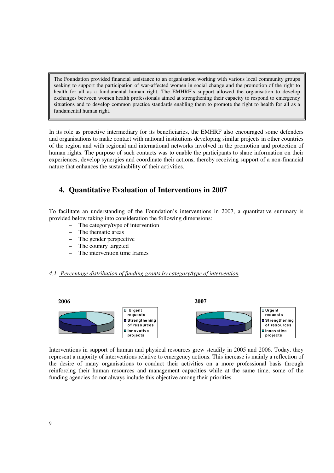The Foundation provided financial assistance to an organisation working with various local community groups seeking to support the participation of war-affected women in social change and the promotion of the right to health for all as a fundamental human right. The EMHRF's support allowed the organisation to develop exchanges between women health professionals aimed at strengthening their capacity to respond to emergency situations and to develop common practice standards enabling them to promote the right to health for all as a fundamental human right.

In its role as proactive intermediary for its beneficiaries, the EMHRF also encouraged some defenders and organisations to make contact with national institutions developing similar projects in other countries of the region and with regional and international networks involved in the promotion and protection of human rights. The purpose of such contacts was to enable the participants to share information on their experiences, develop synergies and coordinate their actions, thereby receiving support of a non-financial nature that enhances the sustainability of their activities.

# **4. Quantitative Evaluation of Interventions in 2007**

To facilitate an understanding of the Foundation's interventions in 2007, a quantitative summary is provided below taking into consideration the following dimensions:

- The category/type of intervention
- The thematic areas
- The gender perspective
- The country targeted
- The intervention time frames

#### *4.1. Percentage distribution of funding grants by category/type of intervention*



Interventions in support of human and physical resources grew steadily in 2005 and 2006. Today, they represent a majority of interventions relative to emergency actions. This increase is mainly a reflection of the desire of many organisations to conduct their activities on a more professional basis through reinforcing their human resources and management capacities while at the same time, some of the funding agencies do not always include this objective among their priorities.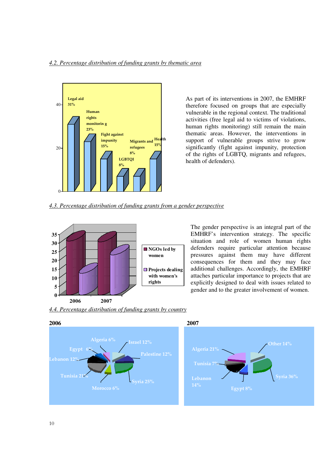



As part of its interventions in 2007, the EMHRF therefore focused on groups that are especially vulnerable in the regional context. The traditional activities (free legal aid to victims of violations, human rights monitoring) still remain the main thematic areas. However, the interventions in support of vulnerable groups strive to grow significantly (fight against impunity, protection of the rights of LGBTQ, migrants and refugees, health of defenders).

*4.3. Percentage distribution of funding grants from a gender perspective*



The gender perspective is an integral part of the EMHRF's intervention strategy. The specific situation and role of women human rights defenders require particular attention because pressures against them may have different consequences for them and they may face additional challenges. Accordingly, the EMHRF attaches particular importance to projects that are explicitly designed to deal with issues related to gender and to the greater involvement of women.



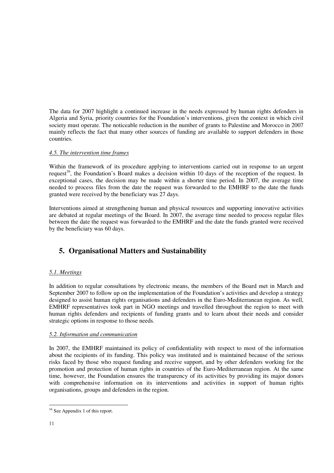The data for 2007 highlight a continued increase in the needs expressed by human rights defenders in Algeria and Syria, priority countries for the Foundation's interventions, given the context in which civil society must operate. The noticeable reduction in the number of grants to Palestine and Morocco in 2007 mainly reflects the fact that many other sources of funding are available to support defenders in those countries.

#### *4.5. The intervention time frames*

Within the framework of its procedure applying to interventions carried out in response to an urgent request<sup>16</sup>, the Foundation's Board makes a decision within 10 days of the reception of the request. In exceptional cases, the decision may be made within a shorter time period. In 2007, the average time needed to process files from the date the request was forwarded to the EMHRF to the date the funds granted were received by the beneficiary was 27 days.

Interventions aimed at strengthening human and physical resources and supporting innovative activities are debated at regular meetings of the Board. In 2007, the average time needed to process regular files between the date the request was forwarded to the EMHRF and the date the funds granted were received by the beneficiary was 60 days.

# **5. Organisational Matters and Sustainability**

## *5.1. Meetings*

In addition to regular consultations by electronic means, the members of the Board met in March and September 2007 to follow up on the implementation of the Foundation's activities and develop a strategy designed to assist human rights organisations and defenders in the Euro-Mediterranean region. As well, EMHRF representatives took part in NGO meetings and travelled throughout the region to meet with human rights defenders and recipients of funding grants and to learn about their needs and consider strategic options in response to those needs.

#### *5.2. Information and communication*

In 2007, the EMHRF maintained its policy of confidentiality with respect to most of the information about the recipients of its funding. This policy was instituted and is maintained because of the serious risks faced by those who request funding and receive support, and by other defenders working for the promotion and protection of human rights in countries of the Euro-Mediterranean region. At the same time, however, the Foundation ensures the transparency of its activities by providing its major donors with comprehensive information on its interventions and activities in support of human rights organisations, groups and defenders in the region.

l <sup>16</sup> See Appendix 1 of this report.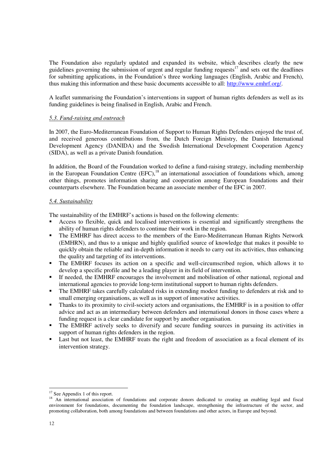The Foundation also regularly updated and expanded its website, which describes clearly the new guidelines governing the submission of urgent and regular funding requests<sup>17</sup> and sets out the deadlines for submitting applications, in the Foundation's three working languages (English, Arabic and French), thus making this information and these basic documents accessible to all: http://www.emhrf.org/.

A leaflet summarising the Foundation's interventions in support of human rights defenders as well as its funding guidelines is being finalised in English, Arabic and French.

#### *5.3. Fund-raising and outreach*

In 2007, the Euro-Mediterranean Foundation of Support to Human Rights Defenders enjoyed the trust of, and received generous contributions from, the Dutch Foreign Ministry, the Danish International Development Agency (DANIDA) and the Swedish International Development Cooperation Agency (SIDA), as well as a private Danish foundation.

In addition, the Board of the Foundation worked to define a fund-raising strategy, including membership in the European Foundation Centre  $(EFC)$ ,<sup>18</sup> an international association of foundations which, among other things, promotes information sharing and cooperation among European foundations and their counterparts elsewhere. The Foundation became an associate member of the EFC in 2007.

#### *5.4. Sustainability*

The sustainability of the EMHRF's actions is based on the following elements:

- Access to flexible, quick and localised interventions is essential and significantly strengthens the ability of human rights defenders to continue their work in the region.
- The EMHRF has direct access to the members of the Euro-Mediterranean Human Rights Network (EMHRN), and thus to a unique and highly qualified source of knowledge that makes it possible to quickly obtain the reliable and in-depth information it needs to carry out its activities, thus enhancing the quality and targeting of its interventions.
- The EMHRF focuses its action on a specific and well-circumscribed region, which allows it to develop a specific profile and be a leading player in its field of intervention.
- If needed, the EMHRF encourages the involvement and mobilisation of other national, regional and international agencies to provide long-term institutional support to human rights defenders.
- The EMHRF takes carefully calculated risks in extending modest funding to defenders at risk and to small emerging organisations, as well as in support of innovative activities.
- Thanks to its proximity to civil-society actors and organisations, the EMHRF is in a position to offer advice and act as an intermediary between defenders and international donors in those cases where a funding request is a clear candidate for support by another organisation.
- The EMHRF actively seeks to diversify and secure funding sources in pursuing its activities in support of human rights defenders in the region.
- Last but not least, the EMHRF treats the right and freedom of association as a focal element of its intervention strategy.

<sup>&</sup>lt;sup>17</sup> See Appendix 1 of this report.

<sup>&</sup>lt;sup>18</sup> An international association of foundations and corporate donors dedicated to creating an enabling legal and fiscal environment for foundations, documenting the foundation landscape, strengthening the infrastructure of the sector, and promoting collaboration, both among foundations and between foundations and other actors, in Europe and beyond.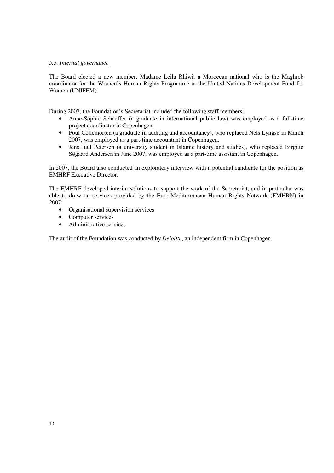#### *5.5. Internal governance*

The Board elected a new member, Madame Leila Rhiwi, a Moroccan national who is the Maghreb coordinator for the Women's Human Rights Programme at the United Nations Development Fund for Women (UNIFEM).

During 2007, the Foundation's Secretariat included the following staff members:

- Anne-Sophie Schaeffer (a graduate in international public law) was employed as a full-time project coordinator in Copenhagen.
- Poul Collemorten (a graduate in auditing and accountancy), who replaced Nels Lyngsø in March 2007, was employed as a part-time accountant in Copenhagen.
- Jens Juul Petersen (a university student in Islamic history and studies), who replaced Birgitte Søgaard Andersen in June 2007, was employed as a part-time assistant in Copenhagen.

In 2007, the Board also conducted an exploratory interview with a potential candidate for the position as EMHRF Executive Director.

The EMHRF developed interim solutions to support the work of the Secretariat, and in particular was able to draw on services provided by the Euro-Mediterranean Human Rights Network (EMHRN) in 2007:

- Organisational supervision services
- Computer services
- Administrative services

The audit of the Foundation was conducted by *Deloitte*, an independent firm in Copenhagen.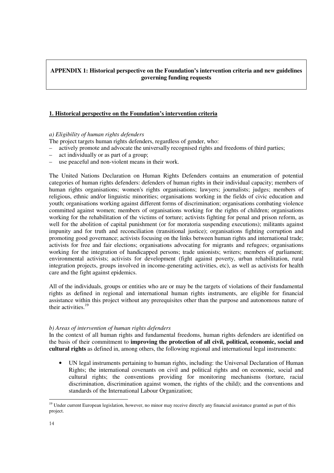#### **APPENDIX 1: Historical perspective on the Foundation's intervention criteria and new guidelines governing funding requests**

#### **1. Historical perspective on the Foundation's intervention criteria**

#### *a) Eligibility of human rights defenders*

The project targets human rights defenders, regardless of gender, who:

- actively promote and advocate the universally recognised rights and freedoms of third parties;
- act individually or as part of a group;
- use peaceful and non-violent means in their work.

The United Nations Declaration on Human Rights Defenders contains an enumeration of potential categories of human rights defenders: defenders of human rights in their individual capacity; members of human rights organisations; women's rights organisations; lawyers; journalists; judges; members of religious, ethnic and/or linguistic minorities; organisations working in the fields of civic education and youth; organisations working against different forms of discrimination; organisations combating violence committed against women; members of organisations working for the rights of children; organisations working for the rehabilitation of the victims of torture; activists fighting for penal and prison reform, as well for the abolition of capital punishment (or for moratoria suspending executions); militants against impunity and for truth and reconciliation (transitional justice); organisations fighting corruption and promoting good governance; activists focusing on the links between human rights and international trade; activists for free and fair elections; organisations advocating for migrants and refugees; organisations working for the integration of handicapped persons; trade unionists; writers; members of parliament; environmental activists; activists for development (fight against poverty, urban rehabilitation, rural integration projects, groups involved in income-generating activities, etc), as well as activists for health care and the fight against epidemics.

All of the individuals, groups or entities who are or may be the targets of violations of their fundamental rights as defined in regional and international human rights instruments, are eligible for financial assistance within this project without any prerequisites other than the purpose and autonomous nature of their activities.<sup>19</sup>

#### *b) Areas of intervention of human rights defenders*

In the context of all human rights and fundamental freedoms, human rights defenders are identified on the basis of their commitment to **improving the protection of all civil, political, economic, social and cultural rights** as defined in, among others, the following regional and international legal instruments:

• UN legal instruments pertaining to human rights, including: the Universal Declaration of Human Rights; the international covenants on civil and political rights and on economic, social and cultural rights; the conventions providing for monitoring mechanisms (torture, racial discrimination, discrimination against women, the rights of the child); and the conventions and standards of the International Labour Organization;

<sup>&</sup>lt;sup>19</sup> Under current European legislation, however, no minor may receive directly any financial assistance granted as part of this project.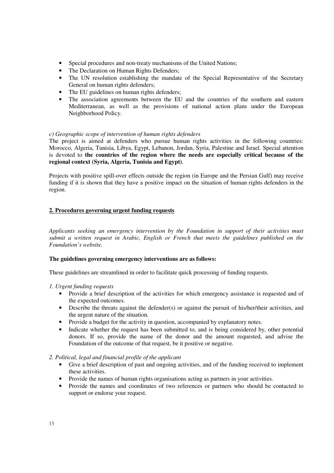- Special procedures and non-treaty mechanisms of the United Nations;
- The Declaration on Human Rights Defenders;
- The UN resolution establishing the mandate of the Special Representative of the Secretary General on human rights defenders;
- The EU guidelines on human rights defenders;
- The association agreements between the EU and the countries of the southern and eastern Mediterranean, as well as the provisions of national action plans under the European Neighborhood Policy.

#### *c) Geographic scope of intervention of human rights defenders*

The project is aimed at defenders who pursue human rights activities in the following countries: Morocco, Algeria, Tunisia, Libya, Egypt, Lebanon, Jordan, Syria, Palestine and Israel. Special attention is devoted to **the countries of the region where the needs are especially critical because of the regional context (Syria, Algeria, Tunisia and Egypt)**.

Projects with positive spill-over effects outside the region (in Europe and the Persian Gulf) may receive funding if it is shown that they have a positive impact on the situation of human rights defenders in the region.

#### **2. Procedures governing urgent funding requests**

*Applicants seeking an emergency intervention by the Foundation in support of their activities must submit a written request in Arabic, English or French that meets the guidelines published on the Foundation's website.* 

#### **The guidelines governing emergency interventions are as follows:**

These guidelines are streamlined in order to facilitate quick processing of funding requests.

#### *1. Urgent funding requests*

- Provide a brief description of the activities for which emergency assistance is requested and of the expected outcomes.
- Describe the threats against the defender(s) or against the pursuit of his/her/their activities, and the urgent nature of the situation.
- Provide a budget for the activity in question, accompanied by explanatory notes.
- Indicate whether the request has been submitted to, and is being considered by, other potential donors. If so, provide the name of the donor and the amount requested, and advise the Foundation of the outcome of that request, be it positive or negative.

#### *2. Political, legal and financial profile of the applicant*

- Give a brief description of past and ongoing activities, and of the funding received to implement these activities.
- Provide the names of human rights organisations acting as partners in your activities.
- Provide the names and coordinates of two references or partners who should be contacted to support or endorse your request.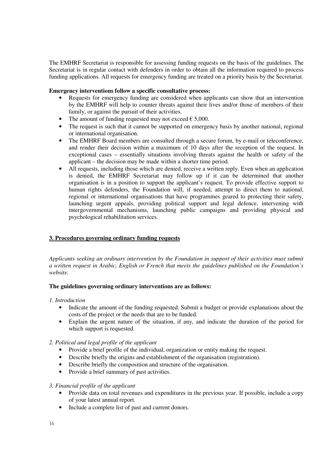The EMHRF Secretariat is responsible for assessing funding requests on the basis of the guidelines. The Secretariat is in regular contact with defenders in order to obtain all the information required to process funding applications. All requests for emergency funding are treated on a priority basis by the Secretariat.

#### **Emergency interventions follow a specific consultative process:**

- Requests for emergency funding are considered when applicants can show that an intervention by the EMHRF will help to counter threats against their lives and/or those of members of their family, or against the pursuit of their activities.
- The amount of funding requested may not exceed  $\epsilon$  5,000.
- The request is such that it cannot be supported on emergency basis by another national, regional or international organisation.
- The EMHRF Board members are consulted through a secure forum, by e-mail or teleconference, and render their decision within a maximum of 10 days after the reception of the request. In exceptional cases – essentially situations involving threats against the health or safety of the applicant – the decision may be made within a shorter time period.
- All requests, including those which are denied, receive a written reply. Even when an application is denied, the EMHRF Secretariat may follow up if it can be determined that another organisation is in a position to support the applicant's request. To provide effective support to human rights defenders, the Foundation will, if needed, attempt to direct them to national, regional or international organisations that have programmes geared to protecting their safety, launching urgent appeals, providing political support and legal defence, intervening with intergovernmental mechanisms, launching public campaigns and providing physical and psychological rehabilitation services.

#### **3. Procedures governing ordinary funding requests**

*Applicants seeking an ordinary intervention by the Foundation in support of their activities must submit a written request in Arabic, English or French that meets the guidelines published on the Foundation's website.* 

#### **The guidelines governing ordinary interventions are as follows:**

#### *1. Introduction*

- Indicate the amount of the funding requested. Submit a budget or provide explanations about the costs of the project or the needs that are to be funded.
- Explain the urgent nature of the situation, if any, and indicate the duration of the period for which support is requested.

#### *2. Political and legal profile of the applicant*

- Provide a brief profile of the individual, organization or entity making the request.
- Describe briefly the origins and establishment of the organisation (registration).
- Describe briefly the composition and structure of the organisation.
- Provide a brief summary of past activities.

#### *3. Financial profile of the applicant*

- Provide data on total revenues and expenditures in the previous year. If possible, include a copy of your latest annual report.
- Include a complete list of past and current donors.